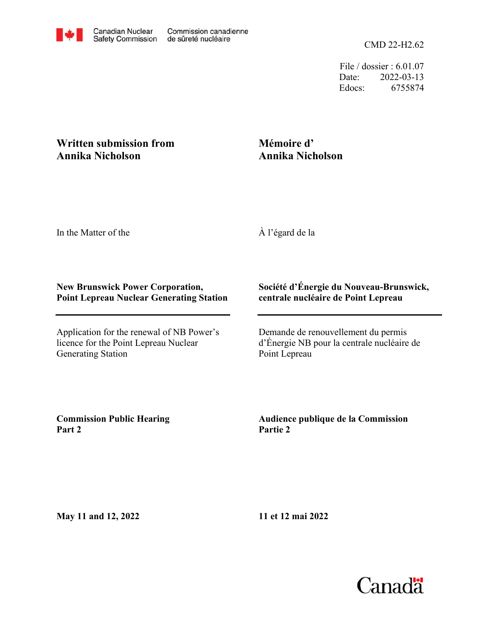File / dossier : 6.01.07 Date: 2022-03-13 Edocs: 6755874

## **Written submission from Annika Nicholson**

## **Mémoire d' Annika Nicholson**

In the Matter of the

À l'égard de la

## **New Brunswick Power Corporation, Point Lepreau Nuclear Generating Station**

Application for the renewal of NB Power's licence for the Point Lepreau Nuclear Generating Station

## **Société d'Énergie du Nouveau-Brunswick, centrale nucléaire de Point Lepreau**

Demande de renouvellement du permis d'Énergie NB pour la centrale nucléaire de Point Lepreau

**Commission Public Hearing Part 2**

**Audience publique de la Commission Partie 2**

**May 11 and 12, 2022**

**11 et 12 mai 2022**